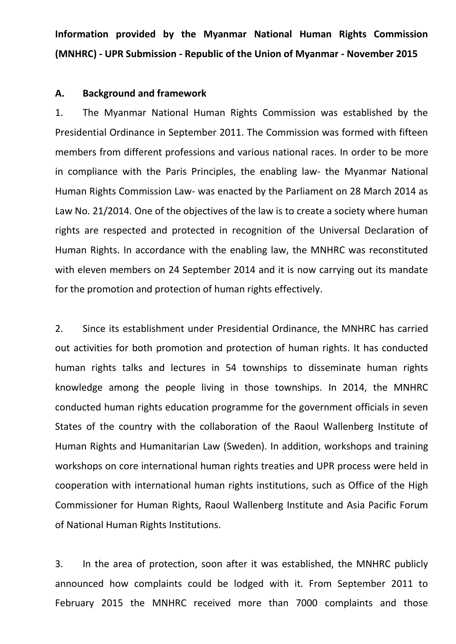**Information provided by the Myanmar National Human Rights Commission (MNHRC) - UPR Submission - Republic of the Union of Myanmar - November 2015**

## **A. Background and framework**

1. The Myanmar National Human Rights Commission was established by the Presidential Ordinance in September 2011. The Commission was formed with fifteen members from different professions and various national races. In order to be more in compliance with the Paris Principles, the enabling law- the Myanmar National Human Rights Commission Law- was enacted by the Parliament on 28 March 2014 as Law No. 21/2014. One of the objectives of the law is to create a society where human rights are respected and protected in recognition of the Universal Declaration of Human Rights. In accordance with the enabling law, the MNHRC was reconstituted with eleven members on 24 September 2014 and it is now carrying out its mandate for the promotion and protection of human rights effectively.

2. Since its establishment under Presidential Ordinance, the MNHRC has carried out activities for both promotion and protection of human rights. It has conducted human rights talks and lectures in 54 townships to disseminate human rights knowledge among the people living in those townships. In 2014, the MNHRC conducted human rights education programme for the government officials in seven States of the country with the collaboration of the Raoul Wallenberg Institute of Human Rights and Humanitarian Law (Sweden). In addition, workshops and training workshops on core international human rights treaties and UPR process were held in cooperation with international human rights institutions, such as Office of the High Commissioner for Human Rights, Raoul Wallenberg Institute and Asia Pacific Forum of National Human Rights Institutions.

3. In the area of protection, soon after it was established, the MNHRC publicly announced how complaints could be lodged with it. From September 2011 to February 2015 the MNHRC received more than 7000 complaints and those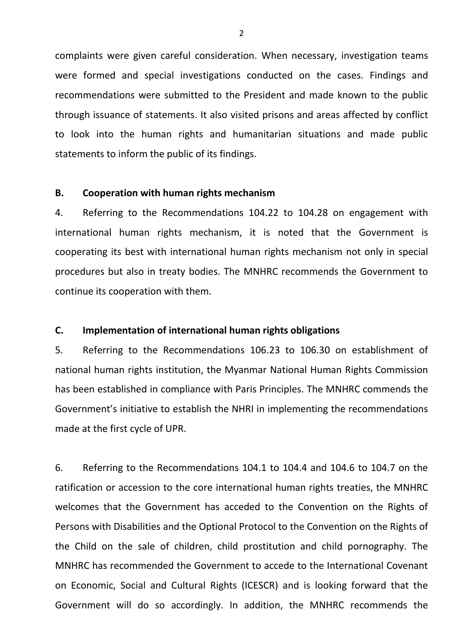complaints were given careful consideration. When necessary, investigation teams were formed and special investigations conducted on the cases. Findings and recommendations were submitted to the President and made known to the public through issuance of statements. It also visited prisons and areas affected by conflict to look into the human rights and humanitarian situations and made public statements to inform the public of its findings.

## **B. Cooperation with human rights mechanism**

4. Referring to the Recommendations 104.22 to 104.28 on engagement with international human rights mechanism, it is noted that the Government is cooperating its best with international human rights mechanism not only in special procedures but also in treaty bodies. The MNHRC recommends the Government to continue its cooperation with them.

## **C. Implementation of international human rights obligations**

5. Referring to the Recommendations 106.23 to 106.30 on establishment of national human rights institution, the Myanmar National Human Rights Commission has been established in compliance with Paris Principles. The MNHRC commends the Government's initiative to establish the NHRI in implementing the recommendations made at the first cycle of UPR.

6. Referring to the Recommendations 104.1 to 104.4 and 104.6 to 104.7 on the ratification or accession to the core international human rights treaties, the MNHRC welcomes that the Government has acceded to the Convention on the Rights of Persons with Disabilities and the Optional Protocol to the Convention on the Rights of the Child on the sale of children, child prostitution and child pornography. The MNHRC has recommended the Government to accede to the International Covenant on Economic, Social and Cultural Rights (ICESCR) and is looking forward that the Government will do so accordingly. In addition, the MNHRC recommends the

 $\overline{\mathcal{L}}$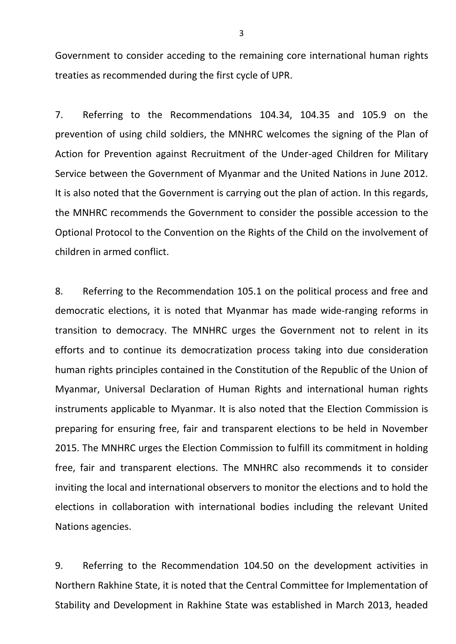Government to consider acceding to the remaining core international human rights treaties as recommended during the first cycle of UPR.

7. Referring to the Recommendations 104.34, 104.35 and 105.9 on the prevention of using child soldiers, the MNHRC welcomes the signing of the Plan of Action for Prevention against Recruitment of the Under-aged Children for Military Service between the Government of Myanmar and the United Nations in June 2012. It is also noted that the Government is carrying out the plan of action. In this regards, the MNHRC recommends the Government to consider the possible accession to the Optional Protocol to the Convention on the Rights of the Child on the involvement of children in armed conflict.

8. Referring to the Recommendation 105.1 on the political process and free and democratic elections, it is noted that Myanmar has made wide-ranging reforms in transition to democracy. The MNHRC urges the Government not to relent in its efforts and to continue its democratization process taking into due consideration human rights principles contained in the Constitution of the Republic of the Union of Myanmar, Universal Declaration of Human Rights and international human rights instruments applicable to Myanmar. It is also noted that the Election Commission is preparing for ensuring free, fair and transparent elections to be held in November 2015. The MNHRC urges the Election Commission to fulfill its commitment in holding free, fair and transparent elections. The MNHRC also recommends it to consider inviting the local and international observers to monitor the elections and to hold the elections in collaboration with international bodies including the relevant United Nations agencies.

9. Referring to the Recommendation 104.50 on the development activities in Northern Rakhine State, it is noted that the Central Committee for Implementation of Stability and Development in Rakhine State was established in March 2013, headed